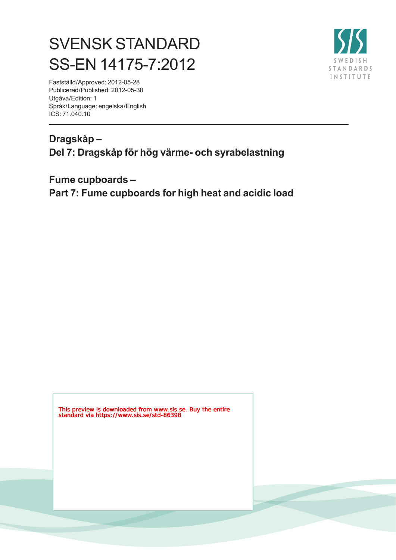# SVENSK STANDARD SS-EN 14175-7:2012



Fastställd/Approved: 2012-05-28 Publicerad/Published: 2012-05-30 Utgåva/Edition: 1 Språk/Language: engelska/English ICS: 71.040.10

## **Dragskåp – Del 7: Dragskåp för hög värme- och syrabelastning**

**Fume cupboards – Part 7: Fume cupboards for high heat and acidic load**

This preview is downloaded from www.sis.se. Buy the entire standard via https://www.sis.se/std-86398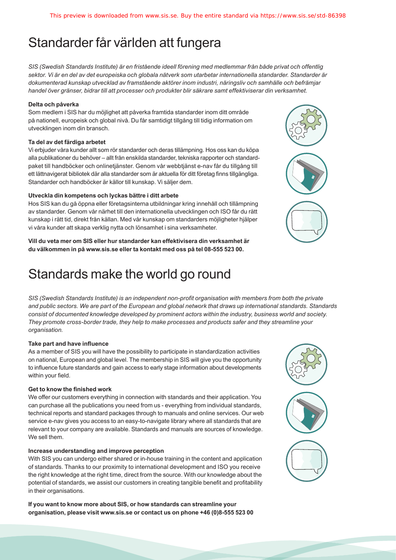## Standarder får världen att fungera

*SIS (Swedish Standards Institute) är en fristående ideell förening med medlemmar från både privat och offentlig sektor. Vi är en del av det europeiska och globala nätverk som utarbetar internationella standarder. Standarder är dokumenterad kunskap utvecklad av framstående aktörer inom industri, näringsliv och samhälle och befrämjar handel över gränser, bidrar till att processer och produkter blir säkrare samt effektiviserar din verksamhet.* 

#### **Delta och påverka**

Som medlem i SIS har du möjlighet att påverka framtida standarder inom ditt område på nationell, europeisk och global nivå. Du får samtidigt tillgång till tidig information om utvecklingen inom din bransch.

#### **Ta del av det färdiga arbetet**

Vi erbjuder våra kunder allt som rör standarder och deras tillämpning. Hos oss kan du köpa alla publikationer du behöver – allt från enskilda standarder, tekniska rapporter och standardpaket till handböcker och onlinetjänster. Genom vår webbtjänst e-nav får du tillgång till ett lättnavigerat bibliotek där alla standarder som är aktuella för ditt företag finns tillgängliga. Standarder och handböcker är källor till kunskap. Vi säljer dem.

#### **Utveckla din kompetens och lyckas bättre i ditt arbete**

Hos SIS kan du gå öppna eller företagsinterna utbildningar kring innehåll och tillämpning av standarder. Genom vår närhet till den internationella utvecklingen och ISO får du rätt kunskap i rätt tid, direkt från källan. Med vår kunskap om standarders möjligheter hjälper vi våra kunder att skapa verklig nytta och lönsamhet i sina verksamheter.

**Vill du veta mer om SIS eller hur standarder kan effektivisera din verksamhet är du välkommen in på www.sis.se eller ta kontakt med oss på tel 08-555 523 00.**

## Standards make the world go round

*SIS (Swedish Standards Institute) is an independent non-profit organisation with members from both the private and public sectors. We are part of the European and global network that draws up international standards. Standards consist of documented knowledge developed by prominent actors within the industry, business world and society. They promote cross-border trade, they help to make processes and products safer and they streamline your organisation.*

#### **Take part and have influence**

As a member of SIS you will have the possibility to participate in standardization activities on national, European and global level. The membership in SIS will give you the opportunity to influence future standards and gain access to early stage information about developments within your field.

#### **Get to know the finished work**

We offer our customers everything in connection with standards and their application. You can purchase all the publications you need from us - everything from individual standards, technical reports and standard packages through to manuals and online services. Our web service e-nav gives you access to an easy-to-navigate library where all standards that are relevant to your company are available. Standards and manuals are sources of knowledge. We sell them.

#### **Increase understanding and improve perception**

With SIS you can undergo either shared or in-house training in the content and application of standards. Thanks to our proximity to international development and ISO you receive the right knowledge at the right time, direct from the source. With our knowledge about the potential of standards, we assist our customers in creating tangible benefit and profitability in their organisations.

**If you want to know more about SIS, or how standards can streamline your organisation, please visit www.sis.se or contact us on phone +46 (0)8-555 523 00**



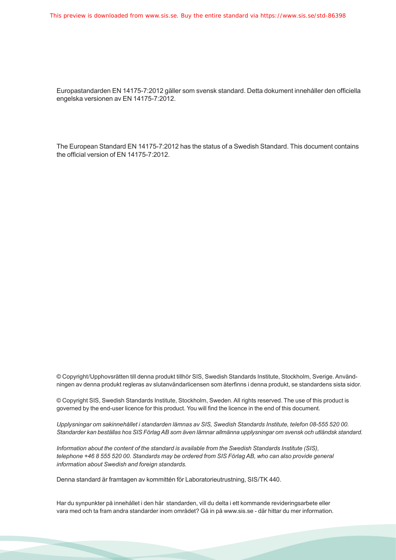Europastandarden EN 14175-7:2012 gäller som svensk standard. Detta dokument innehåller den officiella engelska versionen av EN 14175-7:2012.

The European Standard EN 14175-7:2012 has the status of a Swedish Standard. This document contains the official version of EN 14175-7:2012.

© Copyright/Upphovsrätten till denna produkt tillhör SIS, Swedish Standards Institute, Stockholm, Sverige. Användningen av denna produkt regleras av slutanvändarlicensen som återfinns i denna produkt, se standardens sista sidor.

© Copyright SIS, Swedish Standards Institute, Stockholm, Sweden. All rights reserved. The use of this product is governed by the end-user licence for this product. You will find the licence in the end of this document.

*Upplysningar om sakinnehållet i standarden lämnas av SIS, Swedish Standards Institute, telefon 08-555 520 00. Standarder kan beställas hos SIS Förlag AB som även lämnar allmänna upplysningar om svensk och utländsk standard.*

*Information about the content of the standard is available from the Swedish Standards Institute (SIS), telephone +46 8 555 520 00. Standards may be ordered from SIS Förlag AB, who can also provide general information about Swedish and foreign standards.*

Denna standard är framtagen av kommittén för Laboratorieutrustning, SIS/TK 440.

Har du synpunkter på innehållet i den här standarden, vill du delta i ett kommande revideringsarbete eller vara med och ta fram andra standarder inom området? Gå in på www.sis.se - där hittar du mer information.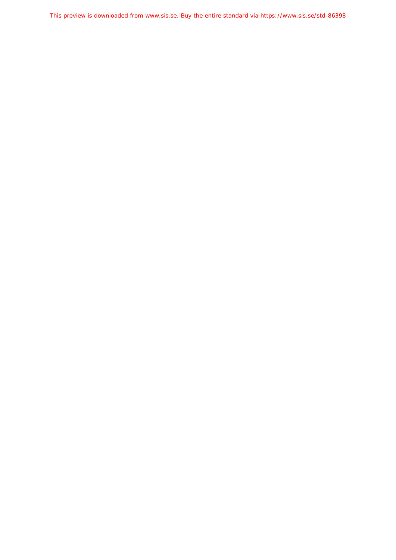This preview is downloaded from www.sis.se. Buy the entire standard via https://www.sis.se/std-86398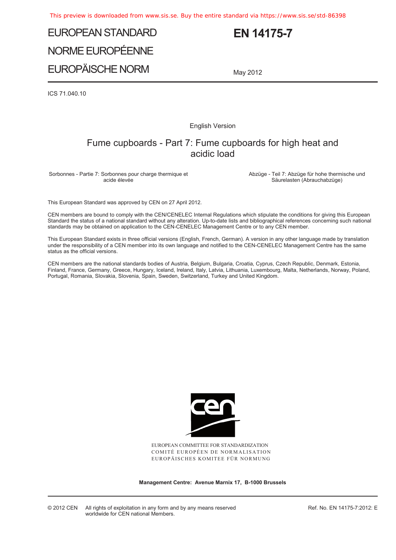## EUROPEAN STANDARD NORME EUROPÉENNE EUROPÄISCHE NORM

## **EN 14175-7**

May 2012

ICS 71.040.10

English Version

### Fume cupboards - Part 7: Fume cupboards for high heat and acidic load

Sorbonnes - Partie 7: Sorbonnes pour charge thermique et acide élevée

Abzüge - Teil 7: Abzüge für hohe thermische und Säurelasten (Abrauchabzüge)

This European Standard was approved by CEN on 27 April 2012.

CEN members are bound to comply with the CEN/CENELEC Internal Regulations which stipulate the conditions for giving this European Standard the status of a national standard without any alteration. Up-to-date lists and bibliographical references concerning such national standards may be obtained on application to the CEN-CENELEC Management Centre or to any CEN member.

This European Standard exists in three official versions (English, French, German). A version in any other language made by translation under the responsibility of a CEN member into its own language and notified to the CEN-CENELEC Management Centre has the same status as the official versions.

CEN members are the national standards bodies of Austria, Belgium, Bulgaria, Croatia, Cyprus, Czech Republic, Denmark, Estonia, Finland, France, Germany, Greece, Hungary, Iceland, Ireland, Italy, Latvia, Lithuania, Luxembourg, Malta, Netherlands, Norway, Poland, Portugal, Romania, Slovakia, Slovenia, Spain, Sweden, Switzerland, Turkey and United Kingdom.



EUROPEAN COMMITTEE FOR STANDARDIZATION COMITÉ EUROPÉEN DE NORMALISATION EUROPÄISCHES KOMITEE FÜR NORMUNG

**Management Centre: Avenue Marnix 17, B-1000 Brussels** 

© 2012 CEN All rights of exploitation in any form and by any means reserved worldwide for CEN national Members.

Ref. No. EN 14175-7:2012: E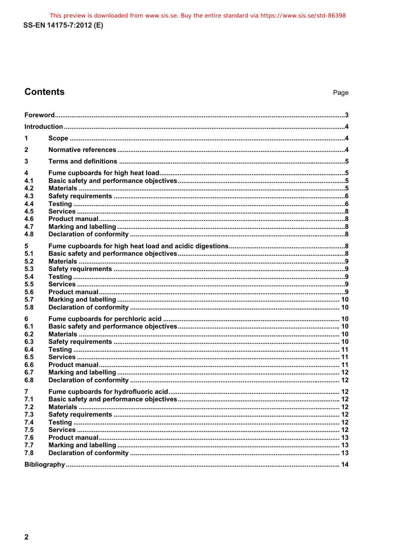This preview is downloaded from www.sis.se. Buy the entire standard via https://www.sis.se/std-86398 SS-EN 14175-7:2012 (E)

## **Contents**

| 1                                                         |                               |  |  |
|-----------------------------------------------------------|-------------------------------|--|--|
| 2                                                         |                               |  |  |
| 3                                                         |                               |  |  |
| 4<br>4.1<br>4.2<br>4.3<br>4.4<br>4.5<br>4.6<br>4.7<br>4.8 |                               |  |  |
| 5<br>5.1<br>5.2<br>5.3<br>5.4<br>5.5<br>5.6<br>5.7<br>5.8 |                               |  |  |
| 6<br>6.1<br>6.2<br>6.3<br>6.4<br>6.5<br>6.6<br>6.7<br>6.8 |                               |  |  |
| 7<br>7.1<br>7.2<br>7.3<br>7.4<br>7.5<br>7.6<br>7.7<br>7.8 | $\sim$ 12<br><b>Materials</b> |  |  |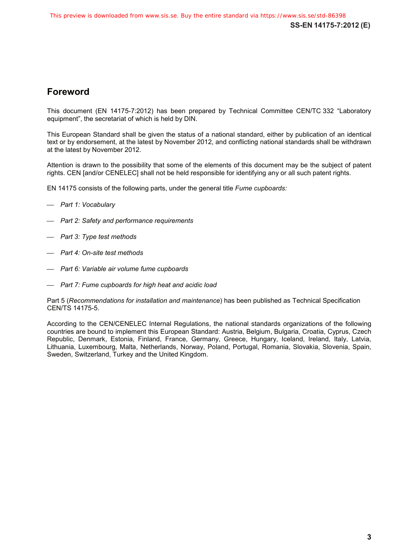## **Foreword**

This document (EN 14175-7:2012) has been prepared by Technical Committee CEN/TC 332 "Laboratory equipment", the secretariat of which is held by DIN.

This European Standard shall be given the status of a national standard, either by publication of an identical text or by endorsement, at the latest by November 2012, and conflicting national standards shall be withdrawn at the latest by November 2012.

Attention is drawn to the possibility that some of the elements of this document may be the subject of patent rights. CEN [and/or CENELEC] shall not be held responsible for identifying any or all such patent rights.

EN 14175 consists of the following parts, under the general title *Fume cupboards:*

- *Part 1: Vocabulary*
- *Part 2: Safety and performance requirements*
- *Part 3: Type test methods*
- *Part 4: On-site test methods*
- *Part 6: Variable air volume fume cupboards*
- *Part 7: Fume cupboards for high heat and acidic load*

Part 5 (*Recommendations for installation and maintenance*) has been published as Technical Specification CEN/TS 14175-5.

According to the CEN/CENELEC Internal Regulations, the national standards organizations of the following countries are bound to implement this European Standard: Austria, Belgium, Bulgaria, Croatia, Cyprus, Czech Republic, Denmark, Estonia, Finland, France, Germany, Greece, Hungary, Iceland, Ireland, Italy, Latvia, Lithuania, Luxembourg, Malta, Netherlands, Norway, Poland, Portugal, Romania, Slovakia, Slovenia, Spain, Sweden, Switzerland, Turkey and the United Kingdom.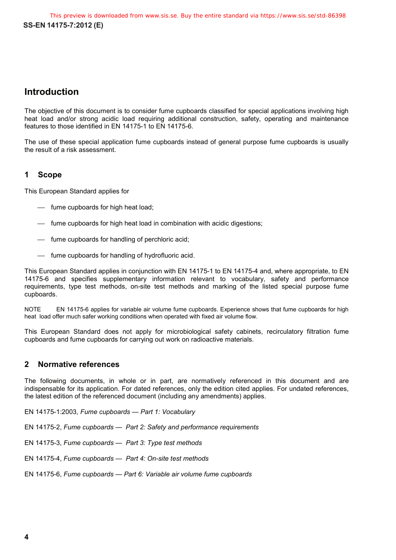### **Introduction**

The objective of this document is to consider fume cupboards classified for special applications involving high heat load and/or strong acidic load requiring additional construction, safety, operating and maintenance features to those identified in EN 14175-1 to EN 14175-6.

The use of these special application fume cupboards instead of general purpose fume cupboards is usually the result of a risk assessment.

#### **1 Scope**

This European Standard applies for

- fume cupboards for high heat load;
- fume cupboards for high heat load in combination with acidic digestions;
- fume cupboards for handling of perchloric acid;
- $\equiv$  fume cupboards for handling of hydrofluoric acid.

This European Standard applies in conjunction with EN 14175-1 to EN 14175-4 and, where appropriate, to EN 14175-6 and specifies supplementary information relevant to vocabulary, safety and performance requirements, type test methods, on-site test methods and marking of the listed special purpose fume cupboards.

NOTE EN 14175-6 applies for variable air volume fume cupboards. Experience shows that fume cupboards for high heat load offer much safer working conditions when operated with fixed air volume flow.

This European Standard does not apply for microbiological safety cabinets, recirculatory filtration fume cupboards and fume cupboards for carrying out work on radioactive materials.

#### **2 Normative references**

The following documents, in whole or in part, are normatively referenced in this document and are indispensable for its application. For dated references, only the edition cited applies. For undated references, the latest edition of the referenced document (including any amendments) applies.

EN 14175-1:2003, *Fume cupboards — Part 1: Vocabulary*

EN 14175-2, *Fume cupboards — Part 2: Safety and performance requirements*

EN 14175-3, *Fume cupboards — Part 3: Type test methods* 

EN 14175-4, *Fume cupboards — Part 4: On-site test methods*

EN 14175-6, *Fume cupboards — Part 6: Variable air volume fume cupboards*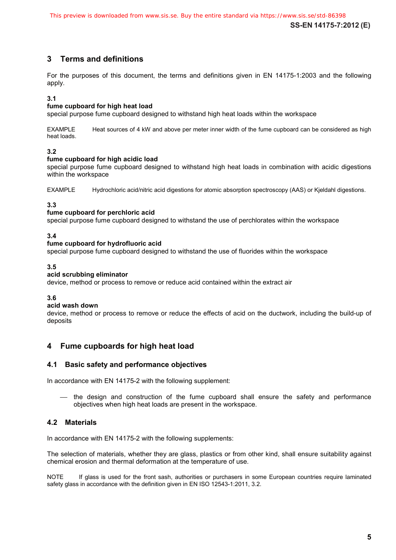### **3 Terms and definitions**

For the purposes of this document, the terms and definitions given in EN 14175-1:2003 and the following apply.

#### **3.1**

#### **fume cupboard for high heat load**

special purpose fume cupboard designed to withstand high heat loads within the workspace

EXAMPLE Heat sources of 4 kW and above per meter inner width of the fume cupboard can be considered as high heat loads.

#### **3.2**

#### **fume cupboard for high acidic load**

special purpose fume cupboard designed to withstand high heat loads in combination with acidic digestions within the workspace

EXAMPLE Hydrochloric acid/nitric acid digestions for atomic absorption spectroscopy (AAS) or Kjeldahl digestions.

#### **3.3**

#### **fume cupboard for perchloric acid**

special purpose fume cupboard designed to withstand the use of perchlorates within the workspace

#### **3.4**

#### **fume cupboard for hydrofluoric acid**

special purpose fume cupboard designed to withstand the use of fluorides within the workspace

#### **3.5**

#### **acid scrubbing eliminator**

device, method or process to remove or reduce acid contained within the extract air

#### **3.6**

#### **acid wash down**

device, method or process to remove or reduce the effects of acid on the ductwork, including the build-up of deposits

#### **4 Fume cupboards for high heat load**

#### **4.1 Basic safety and performance objectives**

In accordance with EN 14175-2 with the following supplement:

 the design and construction of the fume cupboard shall ensure the safety and performance objectives when high heat loads are present in the workspace.

#### **4.2 Materials**

In accordance with EN 14175-2 with the following supplements:

The selection of materials, whether they are glass, plastics or from other kind, shall ensure suitability against chemical erosion and thermal deformation at the temperature of use.

NOTE If glass is used for the front sash, authorities or purchasers in some European countries require laminated safety glass in accordance with the definition given in EN ISO 12543-1:2011, 3.2.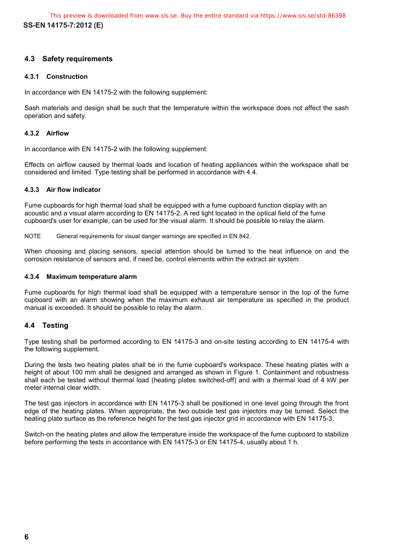#### **4.3 Safety requirements**

#### **4.3.1 Construction**

In accordance with EN 14175-2 with the following supplement:

Sash materials and design shall be such that the temperature within the workspace does not affect the sash operation and safety.

#### **4.3.2 Airflow**

In accordance with EN 14175-2 with the following supplement:

Effects on airflow caused by thermal loads and location of heating appliances within the workspace shall be considered and limited. Type testing shall be performed in accordance with 4.4.

#### **4.3.3 Air flow indicator**

Fume cupboards for high thermal load shall be equipped with a fume cupboard function display with an acoustic and a visual alarm according to EN 14175-2. A red light located in the optical field of the fume cupboard's user for example, can be used for the visual alarm. It should be possible to relay the alarm.

NOTE General requirements for visual danger warnings are specified in EN 842.

When choosing and placing sensors, special attention should be turned to the heat influence on and the corrosion resistance of sensors and, if need be, control elements within the extract air system.

#### **4.3.4 Maximum temperature alarm**

Fume cupboards for high thermal load shall be equipped with a temperature sensor in the top of the fume cupboard with an alarm showing when the maximum exhaust air temperature as specified in the product manual is exceeded. It should be possible to relay the alarm.

#### **4.4 Testing**

Type testing shall be performed according to EN 14175-3 and on-site testing according to EN 14175-4 with the following supplement.

During the tests two heating plates shall be in the fume cupboard's workspace. These heating plates with a height of about 100 mm shall be designed and arranged as shown in Figure 1. Containment and robustness shall each be tested without thermal load (heating plates switched-off) and with a thermal load of 4 kW per meter internal clear width.

The test gas injectors in accordance with EN 14175-3 shall be positioned in one level going through the front edge of the heating plates. When appropriate, the two outside test gas injectors may be turned. Select the heating plate surface as the reference height for the test gas injector grid in accordance with EN 14175-3.

Switch-on the heating plates and allow the temperature inside the workspace of the fume cupboard to stabilize before performing the tests in accordance with EN 14175-3 or EN 14175-4, usually about 1 h.